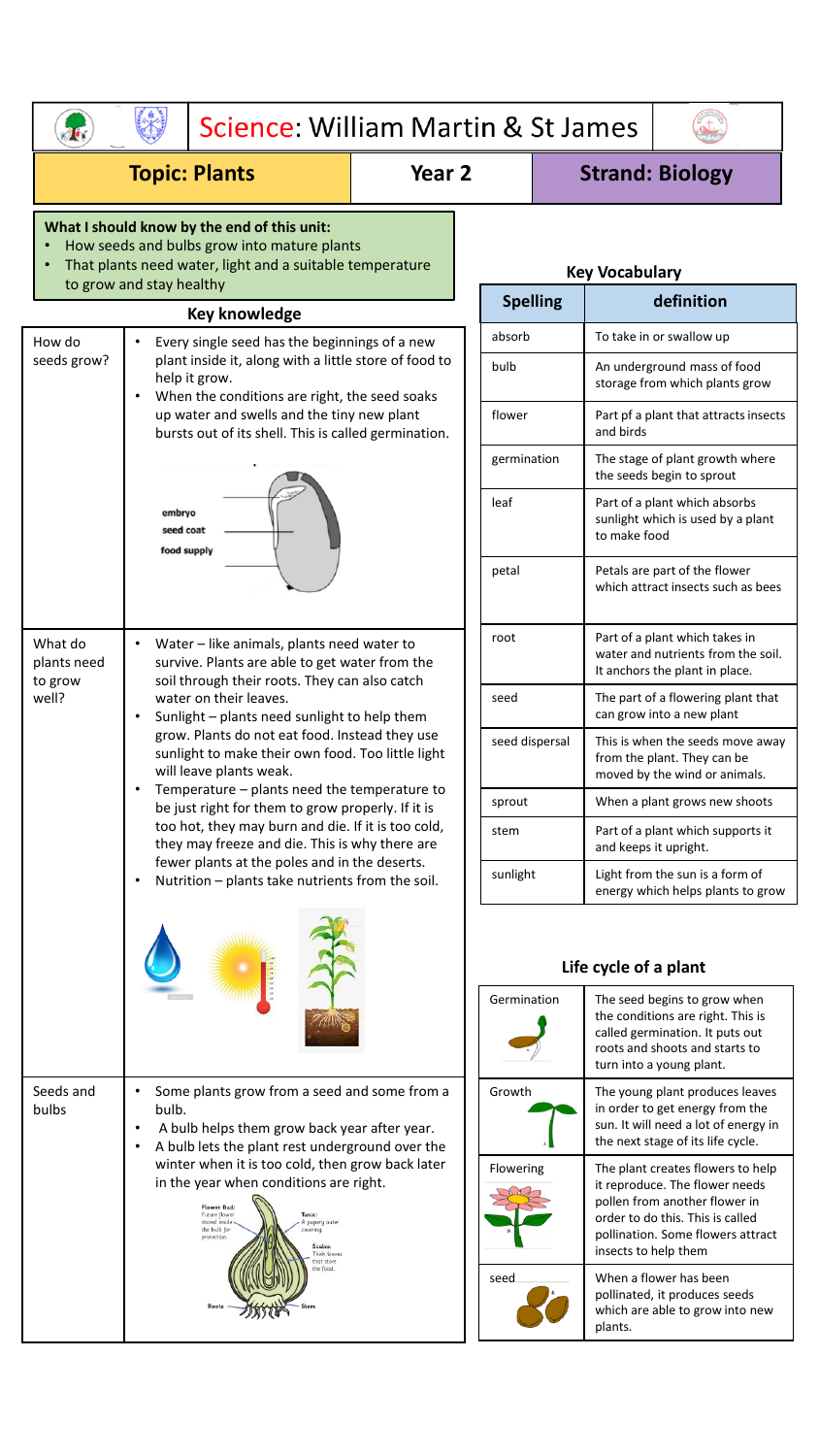| Science: William Martin & St James                                                                                                                                                 |                                                                                                                                                                                                                                                                                                                                                                                                                                                                             |                   |                       |                                                                                                                                                                                                       |  |
|------------------------------------------------------------------------------------------------------------------------------------------------------------------------------------|-----------------------------------------------------------------------------------------------------------------------------------------------------------------------------------------------------------------------------------------------------------------------------------------------------------------------------------------------------------------------------------------------------------------------------------------------------------------------------|-------------------|-----------------------|-------------------------------------------------------------------------------------------------------------------------------------------------------------------------------------------------------|--|
|                                                                                                                                                                                    | <b>Topic: Plants</b>                                                                                                                                                                                                                                                                                                                                                                                                                                                        | Year <sub>2</sub> |                       | <b>Strand: Biology</b>                                                                                                                                                                                |  |
| What I should know by the end of this unit:<br>How seeds and bulbs grow into mature plants<br>That plants need water, light and a suitable temperature<br>to grow and stay healthy |                                                                                                                                                                                                                                                                                                                                                                                                                                                                             |                   | <b>Key Vocabulary</b> |                                                                                                                                                                                                       |  |
|                                                                                                                                                                                    | <b>Key knowledge</b>                                                                                                                                                                                                                                                                                                                                                                                                                                                        |                   | <b>Spelling</b>       | definition                                                                                                                                                                                            |  |
| How do<br>seeds grow?                                                                                                                                                              | Every single seed has the beginnings of a new<br>plant inside it, along with a little store of food to<br>help it grow.<br>When the conditions are right, the seed soaks<br>$\bullet$<br>up water and swells and the tiny new plant<br>bursts out of its shell. This is called germination.<br>embryo<br>seed coat<br>food supply                                                                                                                                           |                   | absorb<br>bulb        | To take in or swallow up<br>An underground mass of food<br>storage from which plants grow                                                                                                             |  |
|                                                                                                                                                                                    |                                                                                                                                                                                                                                                                                                                                                                                                                                                                             |                   | flower                | Part pf a plant that attracts insects<br>and birds                                                                                                                                                    |  |
|                                                                                                                                                                                    |                                                                                                                                                                                                                                                                                                                                                                                                                                                                             |                   | germination           | The stage of plant growth where<br>the seeds begin to sprout                                                                                                                                          |  |
|                                                                                                                                                                                    |                                                                                                                                                                                                                                                                                                                                                                                                                                                                             |                   | leaf                  | Part of a plant which absorbs<br>sunlight which is used by a plant<br>to make food                                                                                                                    |  |
|                                                                                                                                                                                    |                                                                                                                                                                                                                                                                                                                                                                                                                                                                             |                   | petal                 | Petals are part of the flower<br>which attract insects such as bees                                                                                                                                   |  |
| What do<br>plants need<br>to grow<br>well?                                                                                                                                         | Water - like animals, plants need water to<br>٠<br>survive. Plants are able to get water from the<br>soil through their roots. They can also catch                                                                                                                                                                                                                                                                                                                          |                   | root                  | Part of a plant which takes in<br>water and nutrients from the soil.<br>It anchors the plant in place.                                                                                                |  |
|                                                                                                                                                                                    | water on their leaves.<br>Sunlight - plants need sunlight to help them<br>٠<br>grow. Plants do not eat food. Instead they use<br>sunlight to make their own food. Too little light<br>will leave plants weak.<br>Temperature - plants need the temperature to<br>be just right for them to grow properly. If it is<br>too hot, they may burn and die. If it is too cold,<br>they may freeze and die. This is why there are<br>fewer plants at the poles and in the deserts. |                   | seed                  | The part of a flowering plant that<br>can grow into a new plant                                                                                                                                       |  |
|                                                                                                                                                                                    |                                                                                                                                                                                                                                                                                                                                                                                                                                                                             |                   | seed dispersal        | This is when the seeds move away<br>from the plant. They can be<br>moved by the wind or animals.                                                                                                      |  |
|                                                                                                                                                                                    |                                                                                                                                                                                                                                                                                                                                                                                                                                                                             |                   | sprout                | When a plant grows new shoots                                                                                                                                                                         |  |
|                                                                                                                                                                                    |                                                                                                                                                                                                                                                                                                                                                                                                                                                                             |                   | stem                  | Part of a plant which supports it<br>and keeps it upright.                                                                                                                                            |  |
|                                                                                                                                                                                    | Nutrition - plants take nutrients from the soil.<br>٠                                                                                                                                                                                                                                                                                                                                                                                                                       |                   | sunlight              | Light from the sun is a form of<br>energy which helps plants to grow                                                                                                                                  |  |
|                                                                                                                                                                                    |                                                                                                                                                                                                                                                                                                                                                                                                                                                                             |                   | Life cycle of a plant |                                                                                                                                                                                                       |  |
|                                                                                                                                                                                    |                                                                                                                                                                                                                                                                                                                                                                                                                                                                             |                   | Germination           | The seed begins to grow when<br>the conditions are right. This is<br>called germination. It puts out<br>roots and shoots and starts to<br>turn into a young plant.                                    |  |
| Seeds and<br>bulbs                                                                                                                                                                 | Some plants grow from a seed and some from a<br>bulb.<br>A bulb helps them grow back year after year.<br>A bulb lets the plant rest underground over the                                                                                                                                                                                                                                                                                                                    |                   | Growth                | The young plant produces leaves<br>in order to get energy from the<br>sun. It will need a lot of energy in<br>the next stage of its life cycle.                                                       |  |
|                                                                                                                                                                                    | winter when it is too cold, then grow back later<br>in the year when conditions are right.<br><b>Flower Bud:</b><br>Future flower<br><b>Tunic</b><br>stored inside<br>A papery outer<br>the bulb for<br>covering.<br>protection<br>Scales:<br>Thick leaves<br>that store<br>he food<br>Root                                                                                                                                                                                 |                   | Flowering             | The plant creates flowers to help<br>it reproduce. The flower needs<br>pollen from another flower in<br>order to do this. This is called<br>pollination. Some flowers attract<br>insects to help them |  |
|                                                                                                                                                                                    |                                                                                                                                                                                                                                                                                                                                                                                                                                                                             |                   | seed                  | When a flower has been<br>pollinated, it produces seeds<br>which are able to grow into new<br>plants.                                                                                                 |  |